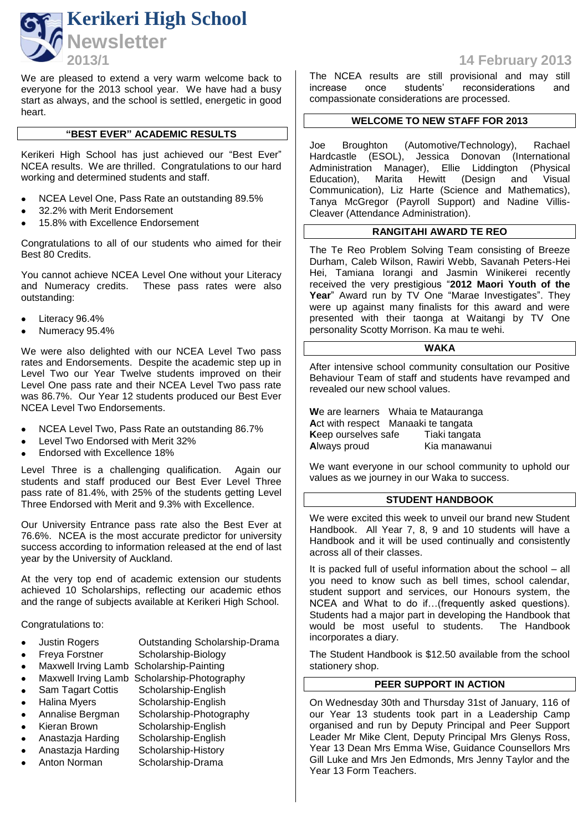

We are pleased to extend a very warm welcome back to everyone for the 2013 school year. We have had a busy start as always, and the school is settled, energetic in good heart.

# **"BEST EVER" ACADEMIC RESULTS**

Kerikeri High School has just achieved our "Best Ever" NCEA results. We are thrilled. Congratulations to our hard working and determined students and staff.

- NCEA Level One, Pass Rate an outstanding 89.5%
- 32.2% with Merit Endorsement
- 15.8% with Excellence Endorsement

Congratulations to all of our students who aimed for their Best 80 Credits.

You cannot achieve NCEA Level One without your Literacy and Numeracy credits. These pass rates were also outstanding:

- Literacy 96.4%
- Numeracy 95.4%

We were also delighted with our NCEA Level Two pass rates and Endorsements. Despite the academic step up in Level Two our Year Twelve students improved on their Level One pass rate and their NCEA Level Two pass rate was 86.7%. Our Year 12 students produced our Best Ever NCEA Level Two Endorsements.

- NCEA Level Two, Pass Rate an outstanding 86.7%
- Level Two Endorsed with Merit 32%
- Endorsed with Excellence 18%

Level Three is a challenging qualification. Again our students and staff produced our Best Ever Level Three pass rate of 81.4%, with 25% of the students getting Level Three Endorsed with Merit and 9.3% with Excellence.

Our University Entrance pass rate also the Best Ever at 76.6%. NCEA is the most accurate predictor for university success according to information released at the end of last year by the University of Auckland.

At the very top end of academic extension our students achieved 10 Scholarships, reflecting our academic ethos and the range of subjects available at Kerikeri High School.

### Congratulations to:

- Justin Rogers Outstanding Scholarship-Drama
- Freya Forstner Scholarship-Biology
- Maxwell Irving Lamb Scholarship-Painting
- Maxwell Irving Lamb Scholarship-Photography
- Sam Tagart Cottis Scholarship-English
- Halina Myers Scholarship-English
- Annalise Bergman Scholarship-Photography
- 
- Kieran Brown Scholarship-English
	- Anastazja Harding Scholarship-English
- Anastazja Harding Scholarship-History
- Anton Norman Scholarship-Drama

**2013/1 14 February 2013**

The NCEA results are still provisional and may still increase once students' reconsiderations and compassionate considerations are processed.

# **WELCOME TO NEW STAFF FOR 2013**

Joe Broughton (Automotive/Technology), Rachael Hardcastle (ESOL), Jessica Donovan (International Administration Manager), Ellie Liddington (Physical Administration Manager), Ellie Liddington<br>Education), Marita Hewitt (Design an Education), Marita Hewitt (Design and Visual Communication), Liz Harte (Science and Mathematics), Tanya McGregor (Payroll Support) and Nadine Villis-Cleaver (Attendance Administration).

# **RANGITAHI AWARD TE REO**

The Te Reo Problem Solving Team consisting of Breeze Durham, Caleb Wilson, Rawiri Webb, Savanah Peters-Hei Hei, Tamiana Iorangi and Jasmin Winikerei recently received the very prestigious "**2012 Maori Youth of the**  Year" Award run by TV One "Marae Investigates". They were up against many finalists for this award and were presented with their taonga at Waitangi by TV One personality Scotty Morrison. Ka mau te wehi.

# **WAKA**

After intensive school community consultation our Positive Behaviour Team of staff and students have revamped and revealed our new school values.

**W**e are learners Whaia te Matauranga Act with respect Manaaki te tangata **Keep ourselves safe Tiaki tangata<br><b>Always proud** Kia manawar Kia manawanui

We want everyone in our school community to uphold our values as we journey in our Waka to success.

# **STUDENT HANDBOOK**

We were excited this week to unveil our brand new Student Handbook. All Year 7, 8, 9 and 10 students will have a Handbook and it will be used continually and consistently across all of their classes.

It is packed full of useful information about the school – all you need to know such as bell times, school calendar, student support and services, our Honours system, the NCEA and What to do if…(frequently asked questions). Students had a major part in developing the Handbook that would be most useful to students. The Handbook incorporates a diary.

The Student Handbook is \$12.50 available from the school stationery shop.

# **PEER SUPPORT IN ACTION**

On Wednesday 30th and Thursday 31st of January, 116 of our Year 13 students took part in a Leadership Camp organised and run by Deputy Principal and Peer Support Leader Mr Mike Clent, Deputy Principal Mrs Glenys Ross, Year 13 Dean Mrs Emma Wise, Guidance Counsellors Mrs Gill Luke and Mrs Jen Edmonds, Mrs Jenny Taylor and the Year 13 Form Teachers.